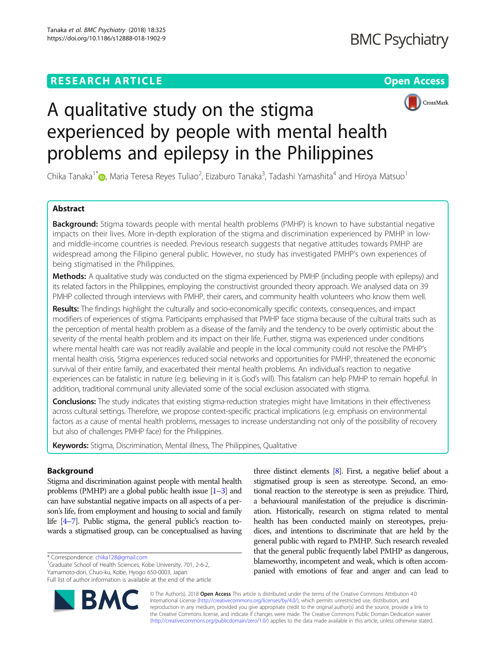# **RESEARCH ARTICLE Example 2014 CONSIDERING A RESEARCH ARTICLE**



# A qualitative study on the stigma experienced by people with mental health problems and epilepsy in the Philippines

Chika Tanaka<sup>1\*</sup>�[,](http://orcid.org/0000-0002-6288-5532) Maria Teresa Reyes Tuliao<sup>2</sup>, Eizaburo Tanaka<sup>3</sup>, Tadashi Yamashita<sup>4</sup> and Hiroya Matsuo<sup>1</sup>

# Abstract

**Background:** Stigma towards people with mental health problems (PMHP) is known to have substantial negative impacts on their lives. More in-depth exploration of the stigma and discrimination experienced by PMHP in lowand middle-income countries is needed. Previous research suggests that negative attitudes towards PMHP are widespread among the Filipino general public. However, no study has investigated PMHP's own experiences of being stigmatised in the Philippines.

Methods: A qualitative study was conducted on the stigma experienced by PMHP (including people with epilepsy) and its related factors in the Philippines, employing the constructivist grounded theory approach. We analysed data on 39 PMHP collected through interviews with PMHP, their carers, and community health volunteers who know them well.

Results: The findings highlight the culturally and socio-economically specific contexts, consequences, and impact modifiers of experiences of stigma. Participants emphasised that PMHP face stigma because of the cultural traits such as the perception of mental health problem as a disease of the family and the tendency to be overly optimistic about the severity of the mental health problem and its impact on their life. Further, stigma was experienced under conditions where mental health care was not readily available and people in the local community could not resolve the PMHP's mental health crisis. Stigma experiences reduced social networks and opportunities for PMHP, threatened the economic survival of their entire family, and exacerbated their mental health problems. An individual's reaction to negative experiences can be fatalistic in nature (e.g. believing in it is God's will). This fatalism can help PMHP to remain hopeful. In addition, traditional communal unity alleviated some of the social exclusion associated with stigma.

Conclusions: The study indicates that existing stigma-reduction strategies might have limitations in their effectiveness across cultural settings. Therefore, we propose context-specific practical implications (e.g. emphasis on environmental factors as a cause of mental health problems, messages to increase understanding not only of the possibility of recovery but also of challenges PMHP face) for the Philippines.

Keywords: Stigma, Discrimination, Mental illness, The Philippines, Qualitative

# Background

Stigma and discrimination against people with mental health problems (PMHP) are a global public health issue [\[1](#page-10-0)–[3](#page-10-0)] and can have substantial negative impacts on all aspects of a person's life, from employment and housing to social and family life [[4](#page-10-0)–[7\]](#page-10-0). Public stigma, the general public's reaction towards a stigmatised group, can be conceptualised as having

\* Correspondence: [chika128@gmail.com](mailto:chika128@gmail.com) <sup>1</sup>

<sup>1</sup>Graduate School of Health Sciences, Kobe University, 701, 2-6-2, Yamamoto-dori, Chuo-ku, Kobe, Hyogo 650-0003, Japan Full list of author information is available at the end of the article



three distinct elements [[8](#page-10-0)]. First, a negative belief about a stigmatised group is seen as stereotype. Second, an emotional reaction to the stereotype is seen as prejudice. Third, a behavioural manifestation of the prejudice is discrimination. Historically, research on stigma related to mental health has been conducted mainly on stereotypes, prejudices, and intentions to discriminate that are held by the general public with regard to PMHP. Such research revealed that the general public frequently label PMHP as dangerous, blameworthy, incompetent and weak, which is often accompanied with emotions of fear and anger and can lead to

© The Author(s). 2018 Open Access This article is distributed under the terms of the Creative Commons Attribution 4.0 International License [\(http://creativecommons.org/licenses/by/4.0/](http://creativecommons.org/licenses/by/4.0/)), which permits unrestricted use, distribution, and reproduction in any medium, provided you give appropriate credit to the original author(s) and the source, provide a link to the Creative Commons license, and indicate if changes were made. The Creative Commons Public Domain Dedication waiver [\(http://creativecommons.org/publicdomain/zero/1.0/](http://creativecommons.org/publicdomain/zero/1.0/)) applies to the data made available in this article, unless otherwise stated.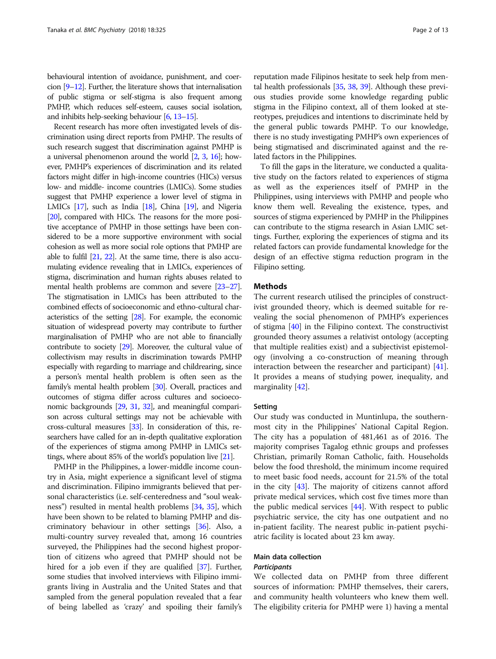behavioural intention of avoidance, punishment, and coercion [\[9](#page-10-0)–[12](#page-10-0)]. Further, the literature shows that internalisation of public stigma or self-stigma is also frequent among PMHP, which reduces self-esteem, causes social isolation, and inhibits help-seeking behaviour [\[6,](#page-10-0) [13](#page-10-0)–[15\]](#page-10-0).

Recent research has more often investigated levels of discrimination using direct reports from PMHP. The results of such research suggest that discrimination against PMHP is a universal phenomenon around the world [[2](#page-10-0), [3](#page-10-0), [16](#page-10-0)]; however, PMHP's experiences of discrimination and its related factors might differ in high-income countries (HICs) versus low- and middle- income countries (LMICs). Some studies suggest that PMHP experience a lower level of stigma in LMICs [[17](#page-10-0)], such as India [[18](#page-10-0)], China [\[19](#page-11-0)], and Nigeria [[20\]](#page-11-0), compared with HICs. The reasons for the more positive acceptance of PMHP in those settings have been considered to be a more supportive environment with social cohesion as well as more social role options that PMHP are able to fulfil [\[21](#page-11-0), [22\]](#page-11-0). At the same time, there is also accumulating evidence revealing that in LMICs, experiences of stigma, discrimination and human rights abuses related to mental health problems are common and severe [\[23](#page-11-0)–[27](#page-11-0)]. The stigmatisation in LMICs has been attributed to the combined effects of socioeconomic and ethno-cultural characteristics of the setting [[28](#page-11-0)]. For example, the economic situation of widespread poverty may contribute to further marginalisation of PMHP who are not able to financially contribute to society [\[29\]](#page-11-0). Moreover, the cultural value of collectivism may results in discrimination towards PMHP especially with regarding to marriage and childrearing, since a person's mental health problem is often seen as the family's mental health problem [\[30\]](#page-11-0). Overall, practices and outcomes of stigma differ across cultures and socioeconomic backgrounds [\[29,](#page-11-0) [31,](#page-11-0) [32\]](#page-11-0), and meaningful comparison across cultural settings may not be achievable with cross-cultural measures [\[33](#page-11-0)]. In consideration of this, researchers have called for an in-depth qualitative exploration of the experiences of stigma among PMHP in LMICs settings, where about 85% of the world's population live [\[21\]](#page-11-0).

PMHP in the Philippines, a lower-middle income country in Asia, might experience a significant level of stigma and discrimination. Filipino immigrants believed that personal characteristics (i.e. self-centeredness and "soul weakness") resulted in mental health problems [\[34,](#page-11-0) [35\]](#page-11-0), which have been shown to be related to blaming PMHP and discriminatory behaviour in other settings [\[36\]](#page-11-0). Also, a multi-country survey revealed that, among 16 countries surveyed, the Philippines had the second highest proportion of citizens who agreed that PMHP should not be hired for a job even if they are qualified [\[37](#page-11-0)]. Further, some studies that involved interviews with Filipino immigrants living in Australia and the United States and that sampled from the general population revealed that a fear of being labelled as 'crazy' and spoiling their family's

reputation made Filipinos hesitate to seek help from mental health professionals [\[35,](#page-11-0) [38](#page-11-0), [39](#page-11-0)]. Although these previous studies provide some knowledge regarding public stigma in the Filipino context, all of them looked at stereotypes, prejudices and intentions to discriminate held by the general public towards PMHP. To our knowledge, there is no study investigating PMHP's own experiences of being stigmatised and discriminated against and the related factors in the Philippines.

To fill the gaps in the literature, we conducted a qualitative study on the factors related to experiences of stigma as well as the experiences itself of PMHP in the Philippines, using interviews with PMHP and people who know them well. Revealing the existence, types, and sources of stigma experienced by PMHP in the Philippines can contribute to the stigma research in Asian LMIC settings. Further, exploring the experiences of stigma and its related factors can provide fundamental knowledge for the design of an effective stigma reduction program in the Filipino setting.

# **Methods**

The current research utilised the principles of constructivist grounded theory, which is deemed suitable for revealing the social phenomenon of PMHP's experiences of stigma [\[40](#page-11-0)] in the Filipino context. The constructivist grounded theory assumes a relativist ontology (accepting that multiple realities exist) and a subjectivist epistemology (involving a co-construction of meaning through interaction between the researcher and participant) [\[41](#page-11-0)]. It provides a means of studying power, inequality, and marginality [[42\]](#page-11-0).

#### Setting

Our study was conducted in Muntinlupa, the southernmost city in the Philippines' National Capital Region. The city has a population of 481,461 as of 2016. The majority comprises Tagalog ethnic groups and professes Christian, primarily Roman Catholic, faith. Households below the food threshold, the minimum income required to meet basic food needs, account for 21.5% of the total in the city [\[43](#page-11-0)]. The majority of citizens cannot afford private medical services, which cost five times more than the public medical services [[44](#page-11-0)]. With respect to public psychiatric service, the city has one outpatient and no in-patient facility. The nearest public in-patient psychiatric facility is located about 23 km away.

# Main data collection **Participants**

We collected data on PMHP from three different sources of information: PMHP themselves, their carers, and community health volunteers who knew them well. The eligibility criteria for PMHP were 1) having a mental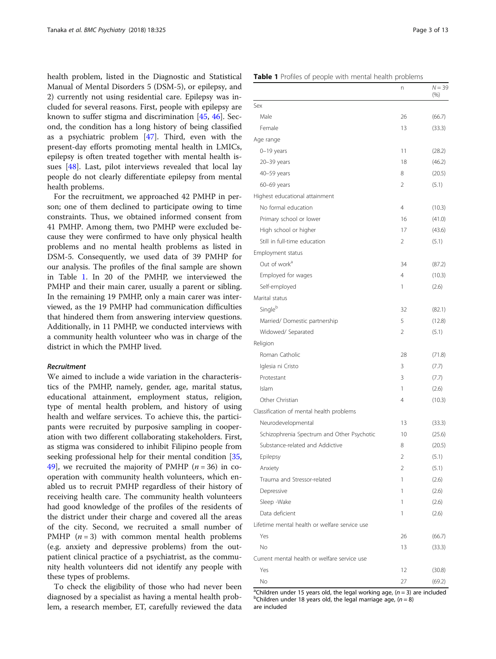health problem, listed in the Diagnostic and Statistical Manual of Mental Disorders 5 (DSM-5), or epilepsy, and 2) currently not using residential care. Epilepsy was included for several reasons. First, people with epilepsy are known to suffer stigma and discrimination [\[45](#page-11-0), [46\]](#page-11-0). Second, the condition has a long history of being classified as a psychiatric problem [[47](#page-11-0)]. Third, even with the present-day efforts promoting mental health in LMICs, epilepsy is often treated together with mental health issues [[48\]](#page-11-0). Last, pilot interviews revealed that local lay people do not clearly differentiate epilepsy from mental health problems.

For the recruitment, we approached 42 PMHP in person; one of them declined to participate owing to time constraints. Thus, we obtained informed consent from 41 PMHP. Among them, two PMHP were excluded because they were confirmed to have only physical health problems and no mental health problems as listed in DSM-5. Consequently, we used data of 39 PMHP for our analysis. The profiles of the final sample are shown in Table 1. In 20 of the PMHP, we interviewed the PMHP and their main carer, usually a parent or sibling. In the remaining 19 PMHP, only a main carer was interviewed, as the 19 PMHP had communication difficulties that hindered them from answering interview questions. Additionally, in 11 PMHP, we conducted interviews with a community health volunteer who was in charge of the district in which the PMHP lived.

#### Recruitment

We aimed to include a wide variation in the characteristics of the PMHP, namely, gender, age, marital status, educational attainment, employment status, religion, type of mental health problem, and history of using health and welfare services. To achieve this, the participants were recruited by purposive sampling in cooperation with two different collaborating stakeholders. First, as stigma was considered to inhibit Filipino people from seeking professional help for their mental condition [[35](#page-11-0), [49\]](#page-11-0), we recruited the majority of PMHP  $(n = 36)$  in cooperation with community health volunteers, which enabled us to recruit PMHP regardless of their history of receiving health care. The community health volunteers had good knowledge of the profiles of the residents of the district under their charge and covered all the areas of the city. Second, we recruited a small number of PMHP  $(n = 3)$  with common mental health problems (e.g. anxiety and depressive problems) from the outpatient clinical practice of a psychiatrist, as the community health volunteers did not identify any people with these types of problems.

To check the eligibility of those who had never been diagnosed by a specialist as having a mental health problem, a research member, ET, carefully reviewed the data

# Table 1 Profiles of people with mental health problems

|                                               | n              | $N = 39$<br>(%) |
|-----------------------------------------------|----------------|-----------------|
| Sex                                           |                |                 |
| Male                                          | 26             | (66.7)          |
| Female                                        | 13             | (33.3)          |
| Age range                                     |                |                 |
| $0-19$ years                                  | 11             | (28.2)          |
| 20-39 years                                   | 18             | (46.2)          |
| 40-59 years                                   | 8              | (20.5)          |
| 60-69 years                                   | $\overline{2}$ | (5.1)           |
| Highest educational attainment                |                |                 |
| No formal education                           | 4              | (10.3)          |
| Primary school or lower                       | 16             | (41.0)          |
| High school or higher                         | 17             | (43.6)          |
| Still in full-time education                  | 2              | (5.1)           |
| Employment status                             |                |                 |
| Out of work <sup>a</sup>                      | 34             | (87.2)          |
| Employed for wages                            | 4              | (10.3)          |
| Self-employed                                 | 1              | (2.6)           |
| Marital status                                |                |                 |
| Singleb                                       | 32             | (82.1)          |
| Married/ Domestic partnership                 | 5              | (12.8)          |
| Widowed/ Separated                            | $\overline{2}$ | (5.1)           |
| Religion                                      |                |                 |
| Roman Catholic                                | 28             | (71.8)          |
| Iglesia ni Cristo                             | 3              | (7.7)           |
| Protestant                                    | 3              | (7.7)           |
| Islam                                         | 1              | (2.6)           |
| Other Christian                               | 4              | (10.3)          |
| Classification of mental health problems      |                |                 |
| Neurodevelopmental                            | 13             | (33.3)          |
| Schizophrenia Spectrum and Other Psychotic    | 10             | (25.6)          |
| Substance-related and Addictive               | 8              | (20.5)          |
| Epilepsy                                      | $\overline{2}$ | (5.1)           |
| Anxiety                                       | 2              | (5.1)           |
| Trauma and Stressor-related                   | 1              | (2.6)           |
| Depressive                                    | 1              | (2.6)           |
| Sleep -Wake                                   | 1              | (2.6)           |
| Data deficient                                | 1              | (2.6)           |
| Lifetime mental health or welfare service use |                |                 |
| Yes                                           | 26             | (66.7)          |
| No                                            | 13             | (33.3)          |
| Current mental health or welfare service use  |                |                 |
| Yes                                           | 12             | (30.8)          |
| No                                            | 27             | (69.2)          |

<sup>a</sup>Children under 15 years old, the legal working age, (n = 3) are included<br><sup>b</sup>Children under 18 years old, the legal marriage age, (n = 9) <sup>b</sup>Children under 18 years old, the legal marriage age,  $(n = 8)$ are included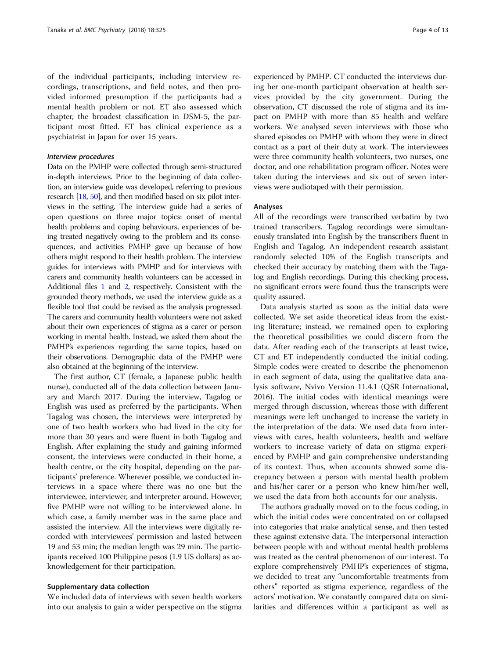of the individual participants, including interview recordings, transcriptions, and field notes, and then provided informed presumption if the participants had a mental health problem or not. ET also assessed which chapter, the broadest classification in DSM-5, the participant most fitted. ET has clinical experience as a psychiatrist in Japan for over 15 years.

# Interview procedures

Data on the PMHP were collected through semi-structured in-depth interviews. Prior to the beginning of data collection, an interview guide was developed, referring to previous research [\[18,](#page-10-0) [50\]](#page-11-0), and then modified based on six pilot interviews in the setting. The interview guide had a series of open questions on three major topics: onset of mental health problems and coping behaviours, experiences of being treated negatively owing to the problem and its consequences, and activities PMHP gave up because of how others might respond to their health problem. The interview guides for interviews with PMHP and for interviews with carers and community health volunteers can be accessed in Additional files [1](#page-10-0) and [2,](#page-10-0) respectively. Consistent with the grounded theory methods, we used the interview guide as a flexible tool that could be revised as the analysis progressed. The carers and community health volunteers were not asked about their own experiences of stigma as a carer or person working in mental health. Instead, we asked them about the PMHP's experiences regarding the same topics, based on their observations. Demographic data of the PMHP were also obtained at the beginning of the interview.

The first author, CT (female, a Japanese public health nurse), conducted all of the data collection between January and March 2017. During the interview, Tagalog or English was used as preferred by the participants. When Tagalog was chosen, the interviews were interpreted by one of two health workers who had lived in the city for more than 30 years and were fluent in both Tagalog and English. After explaining the study and gaining informed consent, the interviews were conducted in their home, a health centre, or the city hospital, depending on the participants' preference. Wherever possible, we conducted interviews in a space where there was no one but the interviewee, interviewer, and interpreter around. However, five PMHP were not willing to be interviewed alone. In which case, a family member was in the same place and assisted the interview. All the interviews were digitally recorded with interviewees' permission and lasted between 19 and 53 min; the median length was 29 min. The participants received 100 Philippine pesos (1.9 US dollars) as acknowledgement for their participation.

# Supplementary data collection

We included data of interviews with seven health workers into our analysis to gain a wider perspective on the stigma

experienced by PMHP. CT conducted the interviews during her one-month participant observation at health services provided by the city government. During the observation, CT discussed the role of stigma and its impact on PMHP with more than 85 health and welfare workers. We analysed seven interviews with those who shared episodes on PMHP with whom they were in direct contact as a part of their duty at work. The interviewees were three community health volunteers, two nurses, one doctor, and one rehabilitation program officer. Notes were taken during the interviews and six out of seven interviews were audiotaped with their permission.

# Analyses

All of the recordings were transcribed verbatim by two trained transcribers. Tagalog recordings were simultaneously translated into English by the transcribers fluent in English and Tagalog. An independent research assistant randomly selected 10% of the English transcripts and checked their accuracy by matching them with the Tagalog and English recordings. During this checking process, no significant errors were found thus the transcripts were quality assured.

Data analysis started as soon as the initial data were collected. We set aside theoretical ideas from the existing literature; instead, we remained open to exploring the theoretical possibilities we could discern from the data. After reading each of the transcripts at least twice, CT and ET independently conducted the initial coding. Simple codes were created to describe the phenomenon in each segment of data, using the qualitative data analysis software, Nvivo Version 11.4.1 (QSR International, 2016). The initial codes with identical meanings were merged through discussion, whereas those with different meanings were left unchanged to increase the variety in the interpretation of the data. We used data from interviews with cares, health volunteers, health and welfare workers to increase variety of data on stigma experienced by PMHP and gain comprehensive understanding of its context. Thus, when accounts showed some discrepancy between a person with mental health problem and his/her carer or a person who knew him/her well, we used the data from both accounts for our analysis.

The authors gradually moved on to the focus coding, in which the initial codes were concentrated on or collapsed into categories that make analytical sense, and then tested these against extensive data. The interpersonal interaction between people with and without mental health problems was treated as the central phenomenon of our interest. To explore comprehensively PMHP's experiences of stigma, we decided to treat any "uncomfortable treatments from others" reported as stigma experience, regardless of the actors' motivation. We constantly compared data on similarities and differences within a participant as well as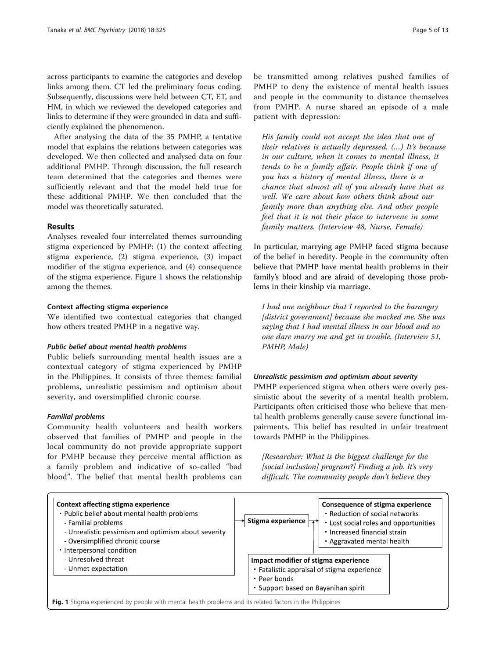across participants to examine the categories and develop links among them. CT led the preliminary focus coding. Subsequently, discussions were held between CT, ET, and HM, in which we reviewed the developed categories and links to determine if they were grounded in data and sufficiently explained the phenomenon.

After analysing the data of the 35 PMHP, a tentative model that explains the relations between categories was developed. We then collected and analysed data on four additional PMHP. Through discussion, the full research team determined that the categories and themes were sufficiently relevant and that the model held true for these additional PMHP. We then concluded that the model was theoretically saturated.

# Results

Analyses revealed four interrelated themes surrounding stigma experienced by PMHP: (1) the context affecting stigma experience, (2) stigma experience, (3) impact modifier of the stigma experience, and (4) consequence of the stigma experience. Figure 1 shows the relationship among the themes.

# Context affecting stigma experience

We identified two contextual categories that changed how others treated PMHP in a negative way.

## Public belief about mental health problems

Public beliefs surrounding mental health issues are a contextual category of stigma experienced by PMHP in the Philippines. It consists of three themes: familial problems, unrealistic pessimism and optimism about severity, and oversimplified chronic course.

### Familial problems

Community health volunteers and health workers observed that families of PMHP and people in the local community do not provide appropriate support for PMHP because they perceive mental affliction as a family problem and indicative of so-called "bad blood". The belief that mental health problems can

be transmitted among relatives pushed families of PMHP to deny the existence of mental health issues and people in the community to distance themselves from PMHP. A nurse shared an episode of a male patient with depression:

His family could not accept the idea that one of their relatives is actually depressed. (…) It's because in our culture, when it comes to mental illness, it tends to be a family affair. People think if one of you has a history of mental illness, there is a chance that almost all of you already have that as well. We care about how others think about our family more than anything else. And other people feel that it is not their place to intervene in some family matters. (Interview 48, Nurse, Female)

In particular, marrying age PMHP faced stigma because of the belief in heredity. People in the community often believe that PMHP have mental health problems in their family's blood and are afraid of developing those problems in their kinship via marriage.

I had one neighbour that I reported to the barangay [district government] because she mocked me. She was saying that I had mental illness in our blood and no one dare marry me and get in trouble. (Interview 51, PMHP, Male)

## Unrealistic pessimism and optimism about severity

PMHP experienced stigma when others were overly pessimistic about the severity of a mental health problem. Participants often criticised those who believe that mental health problems generally cause severe functional impairments. This belief has resulted in unfair treatment towards PMHP in the Philippines.

[Researcher: What is the biggest challenge for the [social inclusion] program?] Finding a job. It's very difficult. The community people don't believe they

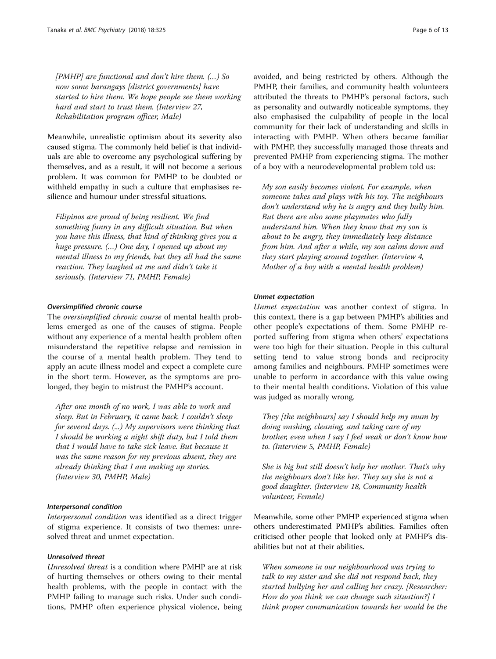[PMHP] are functional and don't hire them. (…) So now some barangays [district governments] have started to hire them. We hope people see them working hard and start to trust them. (Interview 27, Rehabilitation program officer, Male)

Meanwhile, unrealistic optimism about its severity also caused stigma. The commonly held belief is that individuals are able to overcome any psychological suffering by themselves, and as a result, it will not become a serious problem. It was common for PMHP to be doubted or withheld empathy in such a culture that emphasises resilience and humour under stressful situations.

Filipinos are proud of being resilient. We find something funny in any difficult situation. But when you have this illness, that kind of thinking gives you a huge pressure. (…) One day, I opened up about my mental illness to my friends, but they all had the same reaction. They laughed at me and didn't take it seriously. (Interview 71, PMHP, Female)

### Oversimplified chronic course

The oversimplified chronic course of mental health problems emerged as one of the causes of stigma. People without any experience of a mental health problem often misunderstand the repetitive relapse and remission in the course of a mental health problem. They tend to apply an acute illness model and expect a complete cure in the short term. However, as the symptoms are prolonged, they begin to mistrust the PMHP's account.

After one month of no work, I was able to work and sleep. But in February, it came back. I couldn't sleep for several days. (...) My supervisors were thinking that I should be working a night shift duty, but I told them that I would have to take sick leave. But because it was the same reason for my previous absent, they are already thinking that I am making up stories. (Interview 30, PMHP, Male)

### Interpersonal condition

Interpersonal condition was identified as a direct trigger of stigma experience. It consists of two themes: unresolved threat and unmet expectation.

# Unresolved threat

Unresolved threat is a condition where PMHP are at risk of hurting themselves or others owing to their mental health problems, with the people in contact with the PMHP failing to manage such risks. Under such conditions, PMHP often experience physical violence, being avoided, and being restricted by others. Although the PMHP, their families, and community health volunteers attributed the threats to PMHP's personal factors, such as personality and outwardly noticeable symptoms, they also emphasised the culpability of people in the local community for their lack of understanding and skills in interacting with PMHP. When others became familiar with PMHP, they successfully managed those threats and prevented PMHP from experiencing stigma. The mother of a boy with a neurodevelopmental problem told us:

My son easily becomes violent. For example, when someone takes and plays with his toy. The neighbours don't understand why he is angry and they bully him. But there are also some playmates who fully understand him. When they know that my son is about to be angry, they immediately keep distance from him. And after a while, my son calms down and they start playing around together. (Interview 4, Mother of a boy with a mental health problem)

# Unmet expectation

Unmet expectation was another context of stigma. In this context, there is a gap between PMHP's abilities and other people's expectations of them. Some PMHP reported suffering from stigma when others' expectations were too high for their situation. People in this cultural setting tend to value strong bonds and reciprocity among families and neighbours. PMHP sometimes were unable to perform in accordance with this value owing to their mental health conditions. Violation of this value was judged as morally wrong.

They [the neighbours] say I should help my mum by doing washing, cleaning, and taking care of my brother, even when I say I feel weak or don't know how to. (Interview 5, PMHP, Female)

She is big but still doesn't help her mother. That's why the neighbours don't like her. They say she is not a good daughter. (Interview 18, Community health volunteer, Female)

Meanwhile, some other PMHP experienced stigma when others underestimated PMHP's abilities. Families often criticised other people that looked only at PMHP's disabilities but not at their abilities.

When someone in our neighbourhood was trying to talk to my sister and she did not respond back, they started bullying her and calling her crazy. [Researcher: How do you think we can change such situation?] I think proper communication towards her would be the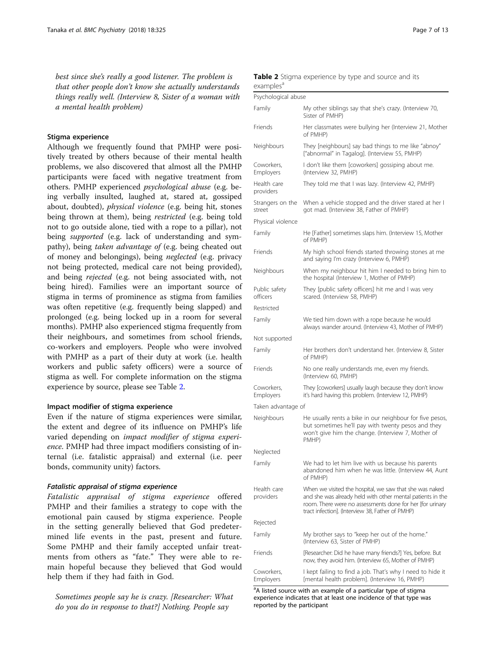best since she's really a good listener. The problem is that other people don't know she actually understands things really well. (Interview 8, Sister of a woman with a mental health problem)

# Stigma experience

Although we frequently found that PMHP were positively treated by others because of their mental health problems, we also discovered that almost all the PMHP participants were faced with negative treatment from others. PMHP experienced psychological abuse (e.g. being verbally insulted, laughed at, stared at, gossiped about, doubted), physical violence (e.g. being hit, stones being thrown at them), being restricted (e.g. being told not to go outside alone, tied with a rope to a pillar), not being supported (e.g. lack of understanding and sympathy), being taken advantage of (e.g. being cheated out of money and belongings), being neglected (e.g. privacy not being protected, medical care not being provided), and being rejected (e.g. not being associated with, not being hired). Families were an important source of stigma in terms of prominence as stigma from families was often repetitive (e.g. frequently being slapped) and prolonged (e.g. being locked up in a room for several months). PMHP also experienced stigma frequently from their neighbours, and sometimes from school friends, co-workers and employers. People who were involved with PMHP as a part of their duty at work (i.e. health workers and public safety officers) were a source of stigma as well. For complete information on the stigma experience by source, please see Table 2.

# Impact modifier of stigma experience

Even if the nature of stigma experiences were similar, the extent and degree of its influence on PMHP's life varied depending on impact modifier of stigma experience. PMHP had three impact modifiers consisting of internal (i.e. fatalistic appraisal) and external (i.e. peer bonds, community unity) factors.

# Fatalistic appraisal of stigma experience

Fatalistic appraisal of stigma experience offered PMHP and their families a strategy to cope with the emotional pain caused by stigma experience. People in the setting generally believed that God predetermined life events in the past, present and future. Some PMHP and their family accepted unfair treatments from others as "fate." They were able to remain hopeful because they believed that God would help them if they had faith in God.

Sometimes people say he is crazy. [Researcher: What do you do in response to that?] Nothing. People say

|                       | Table 2 Stigma experience by type and source and its |  |  |  |
|-----------------------|------------------------------------------------------|--|--|--|
| examples <sup>a</sup> |                                                      |  |  |  |

| تعاد                       |                                                                                                                                                                                                                                        |  |  |  |  |
|----------------------------|----------------------------------------------------------------------------------------------------------------------------------------------------------------------------------------------------------------------------------------|--|--|--|--|
| Psychological abuse        |                                                                                                                                                                                                                                        |  |  |  |  |
| Family                     | My other siblings say that she's crazy. (Interview 70,<br>Sister of PMHP)                                                                                                                                                              |  |  |  |  |
| Friends                    | Her classmates were bullying her (Interview 21, Mother<br>of PMHP)                                                                                                                                                                     |  |  |  |  |
| Neighbours                 | They [neighbours] say bad things to me like "abnoy"<br>["abnormal" in Tagalog]. (Interview 55, PMHP)                                                                                                                                   |  |  |  |  |
| Coworkers,<br>Employers    | I don't like them [coworkers] gossiping about me.<br>(Interview 32, PMHP)                                                                                                                                                              |  |  |  |  |
| Health care<br>providers   | They told me that I was lazy. (Interview 42, PMHP)                                                                                                                                                                                     |  |  |  |  |
| Strangers on the<br>street | When a vehicle stopped and the driver stared at her I<br>got mad. (Interview 38, Father of PMHP)                                                                                                                                       |  |  |  |  |
| Physical violence          |                                                                                                                                                                                                                                        |  |  |  |  |
| Family                     | He [Father] sometimes slaps him. (Interview 15, Mother<br>of PMHP)                                                                                                                                                                     |  |  |  |  |
| Friends                    | My high school friends started throwing stones at me<br>and saying I'm crazy (Interview 6, PMHP)                                                                                                                                       |  |  |  |  |
| Neighbours                 | When my neighbour hit him I needed to bring him to<br>the hospital (Interview 1, Mother of PMHP)                                                                                                                                       |  |  |  |  |
| Public safety<br>officers  | They [public safety officers] hit me and I was very<br>scared. (Interview 58, PMHP)                                                                                                                                                    |  |  |  |  |
| Restricted                 |                                                                                                                                                                                                                                        |  |  |  |  |
| Family                     | We tied him down with a rope because he would<br>always wander around. (Interview 43, Mother of PMHP)                                                                                                                                  |  |  |  |  |
| Not supported              |                                                                                                                                                                                                                                        |  |  |  |  |
| Family                     | Her brothers don't understand her. (Interview 8, Sister<br>of PMHP)                                                                                                                                                                    |  |  |  |  |
| Friends                    | No one really understands me, even my friends.<br>(Interview 60, PMHP)                                                                                                                                                                 |  |  |  |  |
| Coworkers,<br>Employers    | They [coworkers] usually laugh because they don't know<br>it's hard having this problem. (Interview 12, PMHP)                                                                                                                          |  |  |  |  |
| Taken advantage of         |                                                                                                                                                                                                                                        |  |  |  |  |
| Neighbours                 | He usually rents a bike in our neighbour for five pesos,<br>but sometimes he'll pay with twenty pesos and they<br>won't give him the change. (Interview 7, Mother of<br>PMHP)                                                          |  |  |  |  |
| Neglected                  |                                                                                                                                                                                                                                        |  |  |  |  |
| Family                     | We had to let him live with us because his parents<br>abandoned him when he was little. (Interview 44, Aunt<br>of PMHP)                                                                                                                |  |  |  |  |
| Health care<br>providers   | When we visited the hospital, we saw that she was naked<br>and she was already held with other mental patients in the<br>room. There were no assessments done for her [for urinary<br>tract infection]. (Interview 38, Father of PMHP) |  |  |  |  |
| Rejected                   |                                                                                                                                                                                                                                        |  |  |  |  |
| Family                     | My brother says to "keep her out of the home."<br>(Interview 63, Sister of PMHP)                                                                                                                                                       |  |  |  |  |
| Friends                    | [Researcher: Did he have many friends?] Yes, before. But<br>now, they avoid him. (Interview 65, Mother of PMHP)                                                                                                                        |  |  |  |  |
| Coworkers,<br>Employers    | I kept failing to find a job. That's why I need to hide it<br>[mental health problem]. (Interview 16, PMHP)                                                                                                                            |  |  |  |  |

<sup>a</sup>A listed source with an example of a particular type of stigma experience indicates that at least one incidence of that type was reported by the participant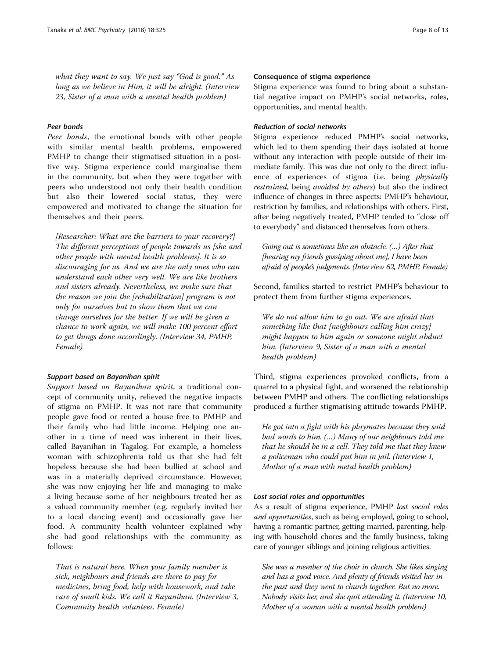what they want to say. We just say "God is good." As long as we believe in Him, it will be alright. (Interview 23, Sister of a man with a mental health problem)

# Peer bonds

Peer bonds, the emotional bonds with other people with similar mental health problems, empowered PMHP to change their stigmatised situation in a positive way. Stigma experience could marginalise them in the community, but when they were together with peers who understood not only their health condition but also their lowered social status, they were empowered and motivated to change the situation for themselves and their peers.

[Researcher: What are the barriers to your recovery?] The different perceptions of people towards us [she and other people with mental health problems]. It is so discouraging for us. And we are the only ones who can understand each other very well. We are like brothers and sisters already. Nevertheless, we make sure that the reason we join the [rehabilitation] program is not only for ourselves but to show them that we can change ourselves for the better. If we will be given a chance to work again, we will make 100 percent effort to get things done accordingly. (Interview 34, PMHP, Female)

# Support based on Bayanihan spirit

Support based on Bayanihan spirit, a traditional concept of community unity, relieved the negative impacts of stigma on PMHP. It was not rare that community people gave food or rented a house free to PMHP and their family who had little income. Helping one another in a time of need was inherent in their lives, called Bayanihan in Tagalog. For example, a homeless woman with schizophrenia told us that she had felt hopeless because she had been bullied at school and was in a materially deprived circumstance. However, she was now enjoying her life and managing to make a living because some of her neighbours treated her as a valued community member (e.g. regularly invited her to a local dancing event) and occasionally gave her food. A community health volunteer explained why she had good relationships with the community as follows:

That is natural here. When your family member is sick, neighbours and friends are there to pay for medicines, bring food, help with housework, and take care of small kids. We call it Bayanihan. (Interview 3, Community health volunteer, Female)

# Consequence of stigma experience

Stigma experience was found to bring about a substantial negative impact on PMHP's social networks, roles, opportunities, and mental health.

# Reduction of social networks

Stigma experience reduced PMHP's social networks, which led to them spending their days isolated at home without any interaction with people outside of their immediate family. This was due not only to the direct influence of experiences of stigma (i.e. being physically restrained, being avoided by others) but also the indirect influence of changes in three aspects: PMHP's behaviour, restriction by families, and relationships with others. First, after being negatively treated, PMHP tended to "close off to everybody" and distanced themselves from others.

Going out is sometimes like an obstacle. (…) After that [hearing my friends gossiping about me], I have been afraid of people's judgments. (Interview 62, PMHP, Female)

Second, families started to restrict PMHP's behaviour to protect them from further stigma experiences.

We do not allow him to go out. We are afraid that something like that [neighbours calling him crazy] might happen to him again or someone might abduct him. (Interview 9, Sister of a man with a mental health problem)

Third, stigma experiences provoked conflicts, from a quarrel to a physical fight, and worsened the relationship between PMHP and others. The conflicting relationships produced a further stigmatising attitude towards PMHP.

He got into a fight with his playmates because they said bad words to him. (…) Many of our neighbours told me that he should be in a cell. They told me that they knew a policeman who could put him in jail. (Interview 1, Mother of a man with metal health problem)

# Lost social roles and opportunities

As a result of stigma experience, PMHP lost social roles and opportunities, such as being employed, going to school, having a romantic partner, getting married, parenting, helping with household chores and the family business, taking care of younger siblings and joining religious activities.

She was a member of the choir in church. She likes singing and has a good voice. And plenty of friends visited her in the past and they went to church together. But no more. Nobody visits her, and she quit attending it. (Interview 10, Mother of a woman with a mental health problem)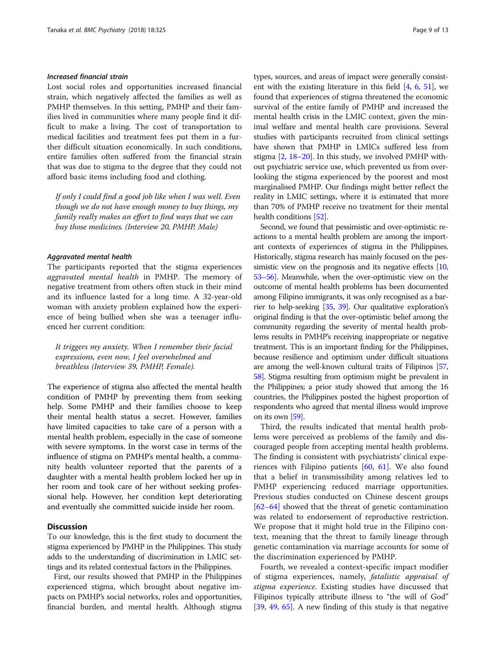# Increased financial strain

Lost social roles and opportunities increased financial strain, which negatively affected the families as well as PMHP themselves. In this setting, PMHP and their families lived in communities where many people find it difficult to make a living. The cost of transportation to medical facilities and treatment fees put them in a further difficult situation economically. In such conditions, entire families often suffered from the financial strain that was due to stigma to the degree that they could not afford basic items including food and clothing.

If only I could find a good job like when I was well. Even though we do not have enough money to buy things, my family really makes an effort to find ways that we can buy those medicines. (Interview 20, PMHP, Male)

#### Aggravated mental health

The participants reported that the stigma experiences aggravated mental health in PMHP. The memory of negative treatment from others often stuck in their mind and its influence lasted for a long time. A 32-year-old woman with anxiety problem explained how the experience of being bullied when she was a teenager influenced her current condition:

It triggers my anxiety. When I remember their facial expressions, even now, I feel overwhelmed and breathless (Interview 39, PMHP, Female).

The experience of stigma also affected the mental health condition of PMHP by preventing them from seeking help. Some PMHP and their families choose to keep their mental health status a secret. However, families have limited capacities to take care of a person with a mental health problem, especially in the case of someone with severe symptoms. In the worst case in terms of the influence of stigma on PMHP's mental health, a community health volunteer reported that the parents of a daughter with a mental health problem locked her up in her room and took care of her without seeking professional help. However, her condition kept deteriorating and eventually she committed suicide inside her room.

# **Discussion**

To our knowledge, this is the first study to document the stigma experienced by PMHP in the Philippines. This study adds to the understanding of discrimination in LMIC settings and its related contextual factors in the Philippines.

First, our results showed that PMHP in the Philippines experienced stigma, which brought about negative impacts on PMHP's social networks, roles and opportunities, financial burden, and mental health. Although stigma

types, sources, and areas of impact were generally consistent with the existing literature in this field [[4](#page-10-0), [6,](#page-10-0) [51\]](#page-11-0), we found that experiences of stigma threatened the economic survival of the entire family of PMHP and increased the mental health crisis in the LMIC context, given the minimal welfare and mental health care provisions. Several studies with participants recruited from clinical settings have shown that PMHP in LMICs suffered less from stigma [\[2,](#page-10-0) [18](#page-10-0)–[20](#page-11-0)]. In this study, we involved PMHP without psychiatric service use, which prevented us from overlooking the stigma experienced by the poorest and most marginalised PMHP. Our findings might better reflect the reality in LMIC settings, where it is estimated that more than 70% of PMHP receive no treatment for their mental health conditions [[52](#page-11-0)].

Second, we found that pessimistic and over-optimistic reactions to a mental health problem are among the important contexts of experiences of stigma in the Philippines. Historically, stigma research has mainly focused on the pes-simistic view on the prognosis and its negative effects [\[10](#page-10-0), [53](#page-11-0)–[56](#page-11-0)]. Meanwhile, when the over-optimistic view on the outcome of mental health problems has been documented among Filipino immigrants, it was only recognised as a barrier to help-seeking [[35](#page-11-0), [39\]](#page-11-0). Our qualitative exploration's original finding is that the over-optimistic belief among the community regarding the severity of mental health problems results in PMHP's receiving inappropriate or negative treatment. This is an important finding for the Philippines, because resilience and optimism under difficult situations are among the well-known cultural traits of Filipinos [\[57](#page-11-0), [58](#page-11-0)]. Stigma resulting from optimism might be prevalent in the Philippines; a prior study showed that among the 16 countries, the Philippines posted the highest proportion of respondents who agreed that mental illness would improve on its own [[59](#page-11-0)].

Third, the results indicated that mental health problems were perceived as problems of the family and discouraged people from accepting mental health problems. The finding is consistent with psychiatrists' clinical experiences with Filipino patients [[60](#page-12-0), [61](#page-12-0)]. We also found that a belief in transmissibility among relatives led to PMHP experiencing reduced marriage opportunities. Previous studies conducted on Chinese descent groups [[62](#page-12-0)–[64](#page-12-0)] showed that the threat of genetic contamination was related to endorsement of reproductive restriction. We propose that it might hold true in the Filipino context, meaning that the threat to family lineage through genetic contamination via marriage accounts for some of the discrimination experienced by PMHP.

Fourth, we revealed a context-specific impact modifier of stigma experiences, namely, fatalistic appraisal of stigma experience. Existing studies have discussed that Filipinos typically attribute illness to "the will of God" [[39,](#page-11-0) [49](#page-11-0), [65\]](#page-12-0). A new finding of this study is that negative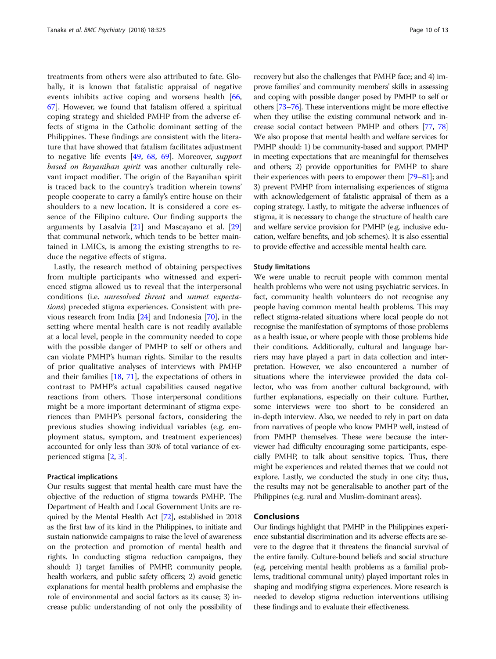treatments from others were also attributed to fate. Globally, it is known that fatalistic appraisal of negative events inhibits active coping and worsens health [[66](#page-12-0), [67\]](#page-12-0). However, we found that fatalism offered a spiritual coping strategy and shielded PMHP from the adverse effects of stigma in the Catholic dominant setting of the Philippines. These findings are consistent with the literature that have showed that fatalism facilitates adjustment to negative life events [[49,](#page-11-0) [68](#page-12-0), [69](#page-12-0)]. Moreover, support based on Bayanihan spirit was another culturally relevant impact modifier. The origin of the Bayanihan spirit is traced back to the country's tradition wherein towns' people cooperate to carry a family's entire house on their shoulders to a new location. It is considered a core essence of the Filipino culture. Our finding supports the arguments by Lasalvia [[21](#page-11-0)] and Mascayano et al. [[29](#page-11-0)] that communal network, which tends to be better maintained in LMICs, is among the existing strengths to reduce the negative effects of stigma.

Lastly, the research method of obtaining perspectives from multiple participants who witnessed and experienced stigma allowed us to reveal that the interpersonal conditions (i.e. unresolved threat and unmet expectations) preceded stigma experiences. Consistent with previous research from India [\[24](#page-11-0)] and Indonesia [\[70](#page-12-0)], in the setting where mental health care is not readily available at a local level, people in the community needed to cope with the possible danger of PMHP to self or others and can violate PMHP's human rights. Similar to the results of prior qualitative analyses of interviews with PMHP and their families [\[18](#page-10-0), [71\]](#page-12-0), the expectations of others in contrast to PMHP's actual capabilities caused negative reactions from others. Those interpersonal conditions might be a more important determinant of stigma experiences than PMHP's personal factors, considering the previous studies showing individual variables (e.g. employment status, symptom, and treatment experiences) accounted for only less than 30% of total variance of experienced stigma [\[2](#page-10-0), [3](#page-10-0)].

# Practical implications

Our results suggest that mental health care must have the objective of the reduction of stigma towards PMHP. The Department of Health and Local Government Units are required by the Mental Health Act [\[72\]](#page-12-0), established in 2018 as the first law of its kind in the Philippines, to initiate and sustain nationwide campaigns to raise the level of awareness on the protection and promotion of mental health and rights. In conducting stigma reduction campaigns, they should: 1) target families of PMHP, community people, health workers, and public safety officers; 2) avoid genetic explanations for mental health problems and emphasise the role of environmental and social factors as its cause; 3) increase public understanding of not only the possibility of

recovery but also the challenges that PMHP face; and 4) improve families' and community members' skills in assessing and coping with possible danger posed by PMHP to self or others [[73](#page-12-0)–[76\]](#page-12-0). These interventions might be more effective when they utilise the existing communal network and increase social contact between PMHP and others [\[77,](#page-12-0) [78](#page-12-0)] We also propose that mental health and welfare services for PMHP should: 1) be community-based and support PMHP in meeting expectations that are meaningful for themselves and others; 2) provide opportunities for PMHP to share their experiences with peers to empower them [\[79](#page-12-0)–[81](#page-12-0)]; and 3) prevent PMHP from internalising experiences of stigma with acknowledgement of fatalistic appraisal of them as a coping strategy. Lastly, to mitigate the adverse influences of stigma, it is necessary to change the structure of health care and welfare service provision for PMHP (e.g. inclusive education, welfare benefits, and job schemes). It is also essential to provide effective and accessible mental health care.

## Study limitations

We were unable to recruit people with common mental health problems who were not using psychiatric services. In fact, community health volunteers do not recognise any people having common mental health problems. This may reflect stigma-related situations where local people do not recognise the manifestation of symptoms of those problems as a health issue, or where people with those problems hide their conditions. Additionally, cultural and language barriers may have played a part in data collection and interpretation. However, we also encountered a number of situations where the interviewee provided the data collector, who was from another cultural background, with further explanations, especially on their culture. Further, some interviews were too short to be considered an in-depth interview. Also, we needed to rely in part on data from narratives of people who know PMHP well, instead of from PMHP themselves. These were because the interviewer had difficulty encouraging some participants, especially PMHP, to talk about sensitive topics. Thus, there might be experiences and related themes that we could not explore. Lastly, we conducted the study in one city; thus, the results may not be generalisable to another part of the Philippines (e.g. rural and Muslim-dominant areas).

# Conclusions

Our findings highlight that PMHP in the Philippines experience substantial discrimination and its adverse effects are severe to the degree that it threatens the financial survival of the entire family. Culture-bound beliefs and social structure (e.g. perceiving mental health problems as a familial problems, traditional communal unity) played important roles in shaping and modifying stigma experiences. More research is needed to develop stigma reduction interventions utilising these findings and to evaluate their effectiveness.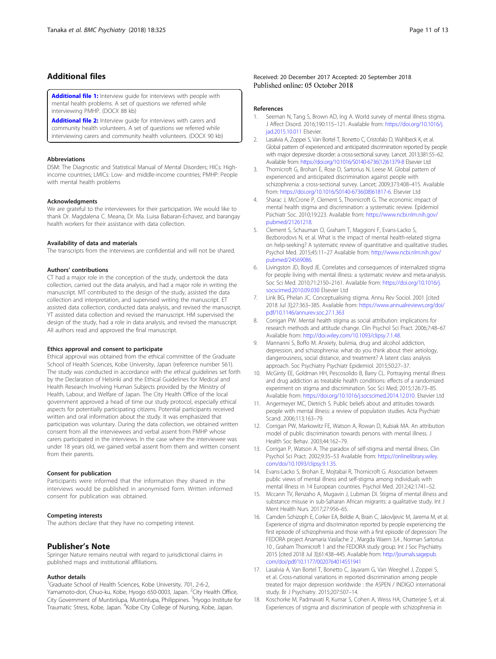# <span id="page-10-0"></span>Additional files

[Additional file 1:](https://doi.org/10.1186/s12888-018-1902-9) Interview guide for interviews with people with mental health problems. A set of questions we referred while interviewing PMHP. (DOCX 88 kb)

[Additional file 2:](https://doi.org/10.1186/s12888-018-1902-9) Interview quide for interviews with carers and community health volunteers. A set of questions we referred while interviewing carers and community health volunteers. (DOCX 90 kb)

#### Abbreviations

DSM: The Diagnostic and Statistical Manual of Mental Disorders; HICs: Highincome countries; LMICs: Low- and middle-income countries; PMHP: People with mental health problems

#### Acknowledgments

We are grateful to the interviewees for their participation. We would like to thank Dr. Magdalena C. Meana, Dr. Ma. Luisa Babaran-Echavez, and barangay health workers for their assistance with data collection.

#### Availability of data and materials

The transcripts from the interviews are confidential and will not be shared.

#### Authors' contributions

CT had a major role in the conception of the study, undertook the data collection, carried out the data analysis, and had a major role in writing the manuscript. MT contributed to the design of the study, assisted the data collection and interpretation, and supervised writing the manuscript. ET assisted data collection, conducted data analysis, and revised the manuscript. YT assisted data collection and revised the manuscript. HM supervised the design of the study, had a role in data analysis, and revised the manuscript. All authors read and approved the final manuscript.

#### Ethics approval and consent to participate

Ethical approval was obtained from the ethical committee of the Graduate School of Health Sciences, Kobe University, Japan (reference number 561). The study was conducted in accordance with the ethical guidelines set forth by the Declaration of Helsinki and the Ethical Guidelines for Medical and Health Research Involving Human Subjects provided by the Ministry of Health, Labour, and Welfare of Japan. The City Health Office of the local government approved a head of time our study protocol, especially ethical aspects for potentially participating citizens. Potential participants received written and oral information about the study. It was emphasized that participation was voluntary. During the data collection, we obtained written consent from all the interviewees and verbal assent from PMHP whose carers participated in the interviews. In the case where the interviewee was under 18 years old, we gained verbal assent from them and written consent from their parents.

#### Consent for publication

Participants were informed that the information they shared in the interviews would be published in anonymised form. Written informed consent for publication was obtained.

#### Competing interests

The authors declare that they have no competing interest.

# Publisher's Note

Springer Nature remains neutral with regard to jurisdictional claims in published maps and institutional affiliations.

#### Author details

<sup>1</sup>Graduate School of Health Sciences, Kobe University, 701, 2-6-2, Yamamoto-dori, Chuo-ku, Kobe, Hyogo 650-0003, Japan. <sup>2</sup>City Health Office, City Government of Muntinlupa, Muntinlupa, Philippines. <sup>3</sup>Hyogo Institute for Traumatic Stress, Kobe, Japan. <sup>4</sup>Kobe City College of Nursing, Kobe, Japan.

# Received: 20 December 2017 Accepted: 20 September 2018 Published online: 05 October 2018

#### References

- 1. Seeman N, Tang S, Brown AD, Ing A. World survey of mental illness stigma. J Affect Disord. 2016;190:115–121. Available from: [https://doi.org/10.1016/j.](https://doi.org/10.1016/j.jad.2015.10.011) [jad.2015.10.011](https://doi.org/10.1016/j.jad.2015.10.011) Elsevier.
- 2. Lasalvia A, Zoppei S, Van Bortel T, Bonetto C, Cristofalo D, Wahlbeck K, et al. Global pattern of experienced and anticipated discrimination reported by people with major depressive disorder: a cross-sectional survey. Lancet. 2013;381:55–62. Available from: [https://doi.org/10.1016/S0140-6736\(12\)61379-8](https://doi.org/10.1016/S0140-6736(12)61379-8) Elsevier Ltd
- 3. Thornicroft G, Brohan E, Rose D, Sartorius N, Leese M. Global pattern of experienced and anticipated discrimination against people with schizophrenia: a cross-sectional survey. Lancet; 2009;373:408–415. Available from: [https://doi.org/10.1016/S0140-6736\(08\)61817-6](https://doi.org/10.1016/S0140-6736(08)61817-6). Elsevier Ltd
- 4. Sharac J, McCrone P, Clement S, Thornicroft G. The economic impact of mental health stigma and discrimination: a systematic review. Epidemiol Psichiatr Soc. 2010;19:223. Available from: [https://www.ncbi.nlm.nih.gov/](https://www.ncbi.nlm.nih.gov/pubmed/21261218) [pubmed/21261218.](https://www.ncbi.nlm.nih.gov/pubmed/21261218)
- 5. Clement S, Schauman O, Graham T, Maggioni F, Evans-Lacko S, Bezborodovs N, et al. What is the impact of mental health-related stigma on help-seeking? A systematic review of quantitative and qualitative studies. Psychol Med. 2015;45:11–27 Available from: [http://www.ncbi.nlm.nih.gov/](http://www.ncbi.nlm.nih.gov/pubmed/24569086) [pubmed/24569086.](http://www.ncbi.nlm.nih.gov/pubmed/24569086)
- Livingston JD, Boyd JE. Correlates and consequences of internalized stigma for people living with mental illness: a systematic review and meta-analysis. Soc Sci Med. 2010;71:2150–2161. Available from: [https://doi.org/10.1016/j.](https://doi.org/10.1016/j.socscimed.2010.09.030) [socscimed.2010.09.030](https://doi.org/10.1016/j.socscimed.2010.09.030) Elsevier Ltd
- 7. Link BG, Phelan JC. Conceptualising stigma. Annu Rev Sociol. 2001 [cited 2018 Jul 3];27:363–385. Available from: [https://www.annualreviews.org/doi/](https://www.annualreviews.org/doi/pdf/10.1146/annurev.soc.27.1.363) [pdf/10.1146/annurev.soc.27.1.363](https://www.annualreviews.org/doi/pdf/10.1146/annurev.soc.27.1.363)
- 8. Corrigan PW. Mental health stigma as social attribution: implications for research methods and attitude change. Clin Psychol Sci Pract. 2006;7:48–67 Available from: <http://doi.wiley.com/10.1093/clipsy.7.1.48>.
- 9. Mannarini S, Boffo M. Anxiety, bulimia, drug and alcohol addiction, depression, and schizophrenia: what do you think about their aetiology, dangerousness, social distance, and treatment? A latent class analysis approach. Soc Psychiatry Psychiatr Epidemiol. 2015;50:27–37.
- 10. McGinty EE, Goldman HH, Pescosolido B, Barry CL. Portraying mental illness and drug addiction as treatable health conditions: effects of a randomized experiment on stigma and discrimination. Soc Sci Med; 2015;126:73–85. Available from: <https://doi.org/10.1016/j.socscimed.2014.12.010>. Elsevier Ltd
- 11. Angermeyer MC, Dietrich S. Public beliefs about and attitudes towards people with mental illness: a review of population studies. Acta Psychiatr Scand. 2006;113:163–79.
- 12. Corrigan PW, Markowitz FE, Watson A, Rowan D, Kubiak MA. An attribution model of public discrimination towards persons with mental illness. J Health Soc Behav. 2003;44:162–79.
- 13. Corrigan P, Watson A. The paradox of self-stigma and mental illness. Clin Psychol Sci Pract. 2002;9:35–53 Available from: [https://onlinelibrary.wiley.](https://onlinelibrary.wiley.com/doi/10.1093/clipsy.9.1.35) [com/doi/10.1093/clipsy.9.1.35](https://onlinelibrary.wiley.com/doi/10.1093/clipsy.9.1.35).
- 14. Evans-Lacko S, Brohan E, Mojtabai R, Thornicroft G. Association between public views of mental illness and self-stigma among individuals with mental illness in 14 European countries. Psychol Med. 2012;42:1741–52.
- 15. Mccann TV, Renzaho A, Mugavin J, Lubman DI. Stigma of mental illness and substance misuse in sub-Saharan African migrants: a qualitative study. Int J Ment Health Nurs. 2017;27:956–65.
- 16. Camden Schizoph E, Corker EA, Beldie A, Brain C, Jakovljevic M, Jarema M, et al. Experience of stigma and discrimination reported by people experiencing the first episode of schizophrenia and those with a first episode of depression: The FEDORA project Anamaria Vasilache 2 , Margda Waern 3,4 , Norman Sartorius 10 , Graham Thornicroft 1 and the FEDORA study group. Int J Soc Psychiatry. 2015 [cited 2018 Jul 3];61:438–445. Available from: [http://journals.sagepub.](http://journals.sagepub.com/doi/pdf/10.1177/0020764014551941) [com/doi/pdf/10.1177/0020764014551941](http://journals.sagepub.com/doi/pdf/10.1177/0020764014551941)
- 17. Lasalvia A, Van Bortel T, Bonetto C, Jayaram G, Van Weeghel J, Zoppei S, et al. Cross-national variations in reported discrimination among people treated for major depression worldwide : the ASPEN / INDIGO international study. Br J Psychiatry. 2015;207:507–14.
- 18. Koschorke M, Padmavati R, Kumar S, Cohen A, Weiss HA, Chatterjee S, et al. Experiences of stigma and discrimination of people with schizophrenia in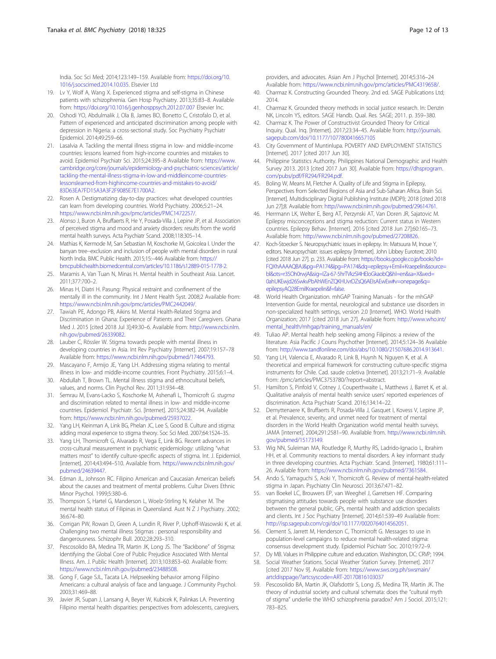<span id="page-11-0"></span>India. Soc Sci Med; 2014;123:149–159. Available from: [https://doi.org/10.](https://doi.org/10.1016/j.socscimed.2014.10.035) [1016/j.socscimed.2014.10.035](https://doi.org/10.1016/j.socscimed.2014.10.035). Elsevier Ltd

- 19. Lv Y, Wolf A, Wang X. Experienced stigma and self-stigma in Chinese patients with schizophrenia. Gen Hosp Psychiatry. 2013;35:83–8. Available from: <https://doi.org/10.1016/j.genhosppsych.2012.07.007> Elsevier Inc.
- 20. Oshodi YO, Abdulmalik J, Ola B, James BO, Bonetto C, Cristofalo D, et al. Pattern of experienced and anticipated discrimination among people with depression in Nigeria: a cross-sectional study. Soc Psychiatry Psychiatr Epidemiol. 2014;49:259–66.
- 21. Lasalvia A. Tackling the mental illness stigma in low- and middle-income countries: lessons learned from high-income countries and mistakes to avoid. Epidemiol Psychiatr Sci. 2015;24:395–8 Available from: [https://www.](https://www.cambridge.org/core/journals/epidemiology-and-psychiatric-sciences/article/tackling-the-mental-illness-stigma-in-low-and-middleincome-countries-lessonslearned-from-highincome-countries-and-mistakes-to-avoid/83D63EA7FD15A3A3F2F9085E7E1700A2) [cambridge.org/core/journals/epidemiology-and-psychiatric-sciences/article/](https://www.cambridge.org/core/journals/epidemiology-and-psychiatric-sciences/article/tackling-the-mental-illness-stigma-in-low-and-middleincome-countries-lessonslearned-from-highincome-countries-and-mistakes-to-avoid/83D63EA7FD15A3A3F2F9085E7E1700A2) [tackling-the-mental-illness-stigma-in-low-and-middleincome-countries](https://www.cambridge.org/core/journals/epidemiology-and-psychiatric-sciences/article/tackling-the-mental-illness-stigma-in-low-and-middleincome-countries-lessonslearned-from-highincome-countries-and-mistakes-to-avoid/83D63EA7FD15A3A3F2F9085E7E1700A2)[lessonslearned-from-highincome-countries-and-mistakes-to-avoid/](https://www.cambridge.org/core/journals/epidemiology-and-psychiatric-sciences/article/tackling-the-mental-illness-stigma-in-low-and-middleincome-countries-lessonslearned-from-highincome-countries-and-mistakes-to-avoid/83D63EA7FD15A3A3F2F9085E7E1700A2) [83D63EA7FD15A3A3F2F9085E7E1700A2](https://www.cambridge.org/core/journals/epidemiology-and-psychiatric-sciences/article/tackling-the-mental-illness-stigma-in-low-and-middleincome-countries-lessonslearned-from-highincome-countries-and-mistakes-to-avoid/83D63EA7FD15A3A3F2F9085E7E1700A2).
- 22. Rosen A. Destigmatizing day-to-day practices: what developed countries can learn from developing countries. World Psychiatry. 2006;5:21–24. [https://www.ncbi.nlm.nih.gov/pmc/articles/PMC1472257/.](https://www.ncbi.nlm.nih.gov/pmc/articles/PMC1472257/)
- 23. Alonso J, Buron A, Bruffaerts R, He Y, Posada-Villa J, Lepine JP, et al. Association of perceived stigma and mood and anxiety disorders: results from the world mental health surveys. Acta Psychiatr Scand. 2008;118:305–14.
- 24. Mathias K, Kermode M, San Sebastian M, Koschorke M, Goicolea I. Under the banyan tree--exclusion and inclusion of people with mental disorders in rural North India. BMC Public Health. 2015;15:–446 Available from: [https://](https://bmcpublichealth.biomedcentral.com/articles/10.1186/s12889-015-1778-2) [bmcpublichealth.biomedcentral.com/articles/10.1186/s12889-015-1778-2.](https://bmcpublichealth.biomedcentral.com/articles/10.1186/s12889-015-1778-2)
- 25. Maramis A, Van Tuan N, Minas H. Mental health in Southeast Asia. Lancet. 2011;377:700–2.
- 26. Minas H, Diatri H. Pasung: Physical restraint and confinement of the mentally ill in the community. Int J Ment Health Syst. 2008;2 Available from: [https://www.ncbi.nlm.nih.gov/pmc/articles/PMC2442049/.](https://www.ncbi.nlm.nih.gov/pmc/articles/PMC2442049/)
- 27. Tawiah PE, Adongo PB, Aikins M. Mental Health-Related Stigma and Discrimination in Ghana: Experience of Patients and Their Caregivers. Ghana Med J. 2015 [cited 2018 Jul 3];49:30–6. Available from: [http://www.ncbi.nlm.](http://www.ncbi.nlm.nih.gov/pubmed/26339082) [nih.gov/pubmed/26339082](http://www.ncbi.nlm.nih.gov/pubmed/26339082).
- 28. Lauber C, Rössler W. Stigma towards people with mental illness in developing countries in Asia. Int Rev Psychiatry [Internet]. 2007;19:157–78 Available from: [https://www.ncbi.nlm.nih.gov/pubmed/17464793.](https://www.ncbi.nlm.nih.gov/pubmed/17464793)
- 29. Mascayano F, Armijo JE, Yang LH. Addressing stigma relating to mental illness in low- and middle-income countries. Front Psychiatry. 2015;6:1–4.
- 30. Abdullah T, Brown TL. Mental illness stigma and ethnocultural beliefs, values, and norms. Clin Psychol Rev. 2011;31:934–48.
- 31. Semrau M, Evans-Lacko S, Koschorke M, Ashenafi L, Thornicroft G. stugma and discrimination related to mental illness in low- and middle-income countries. Epidemiol. Psychiatr. Sci. [Internet]. 2015;24:382–94. Available from: <https://www.ncbi.nlm.nih.gov/pubmed/25937022>.
- 32. Yang LH, Kleinman A, Link BG, Phelan JC, Lee S, Good B. Culture and stigma: adding moral experience to stigma theory. Soc Sci Med. 2007;64:1524–35.
- 33. Yang LH, Thornicroft G, Alvarado R, Vega E, Link BG. Recent advances in cross-cultural measurement in psychiatric epidemiology: utilizing "what matters most" to identify culture-specific aspects of stigma. Int. J. Epidemiol. [internet]. 2014;43:494–510. Available from. [https://www.ncbi.nlm.nih.gov/](https://www.ncbi.nlm.nih.gov/pubmed/24639447) [pubmed/24639447.](https://www.ncbi.nlm.nih.gov/pubmed/24639447)
- 34. Edman JL, Johnson RC. Filipino American and Caucasian American beliefs about the causes and treatment of mental problems. Cultur Divers Ethnic Minor Psychol. 1999;5:380–6.
- 35. Thompson S, Hartel G, Manderson L, Woelz-Stirling N, Kelaher M. The mental health status of Filipinas in Queensland. Aust N Z J Psychiatry. 2002; 36:674–80.
- 36. Corrigan PW, Rowan D, Green A, Lundin R, River P, Uphoff-Wasowski K, et al. Challenging two mental illness Stigmas : personal responsibility and dangerousness. Schizophr Bull. 2002;28:293–310.
- 37. Pescosolido BA, Medina TR, Martin JK, Long JS. The "Backbone" of Stigma: Identifying the Global Core of Public Prejudice Associated With Mental Illness. Am. J. Public Health [Internet]. 2013;103:853–60. Available from: <https://www.ncbi.nlm.nih.gov/pubmed/23488508>.
- 38. Gong F, Gage SJL, Tacata LA. Helpseeking behavior among Filipino Americans: a cultural analysis of face and language. J Community Psychol. 2003;31:469–88.
- 39. Javier JR, Supan J, Lansang A, Beyer W, Kubicek K, Palinkas LA. Preventing Filipino mental health disparities: perspectives from adolescents, caregivers,

providers, and advocates. Asian Am J Psychol [Internet]. 2014;5:316–24 Available from: <https://www.ncbi.nlm.nih.gov/pmc/articles/PMC4319658/>.

- 40. Charmaz K. Constructing Grounded Theory. 2nd ed. SAGE Publications Ltd; 2014.
- 41. Charmaz K. Grounded theory methods in social justice research. In: Denzin NK, Lincoln YS, editors. SAGE Handb. Qual. Res. SAGE; 2011. p. 359–380.
- 42. Charmaz K. The Power of Constructivist Grounded Theory for Critical Inquiry. Qual. Inq. [Internet]. 2017;23:34–45. Available from: [http://journals.](http://journals.sagepub.com/doi/10.1177/1077800416657105) [sagepub.com/doi/10.1177/1077800416657105](http://journals.sagepub.com/doi/10.1177/1077800416657105)
- 43. City Government of Muntinlupa. POVERTY AND EMPLOYMENT STATISTICS [Internet]. 2017 [cited 2017 Jun 30].
- 44. Philippine Statistics Authority. Philippines National Demographic and Health Survey 2013. 2013 [cited 2017 Jun 30]. Available from: [https://dhsprogram.](https://dhsprogram.com/pubs/pdf/FR294/FR294.pdf) [com/pubs/pdf/FR294/FR294.pdf.](https://dhsprogram.com/pubs/pdf/FR294/FR294.pdf)
- 45. Boling W, Means M, Fletcher A. Quality of Life and Stigma in Epilepsy, Perspectives from Selected Regions of Asia and Sub-Saharan Africa. Brain Sci. [Internet]. Multidisciplinary Digital Publishing Institute (MDPI); 2018 [cited 2018 Jun 27];8. Available from: <http://www.ncbi.nlm.nih.gov/pubmed/29614761>.
- 46. Herrmann LK, Welter E, Berg AT, Perzynski AT, Van Doren JR, Sajatovic M. Epilepsy misconceptions and stigma reduction: Current status in Western countries. Epilepsy Behav. [Internet]. 2016 [cited 2018 Jun 27];60:165–73. Available from: <http://www.ncbi.nlm.nih.gov/pubmed/27208826>.
- 47. Koch-Stoecker S. Neuropsychiatric issues in epilepsy. In: Matsuura M, Inoue Y, editors. Neuropsychiatr. issues epilepsy [Internet]. John Libbey Eurotext; 2010 [cited 2018 Jun 27]. p. 233. Available from: [https://books.google.co.jp/books?id=](https://books.google.co.jp/books?id=FQXhAAAAQBAJ&pg=PA174&lpg=PA174&dq=epilepsy+Emil+Kraepelin&source=bl&ots=r35Oh0rwjA&sig=IZa-67-5hrTVkzSl4HEIoGkaobQ&hl=en&sa=X&ved=0ahUKEwjd26SwkvPbAhWEnZQKHUvrDZsQ6AEIsAEwEw#v=onepage&q=epilepsyAQ28EmilKraepelin&f=false) [FQXhAAAAQBAJ&pg=PA174&lpg=PA174&dq=epilepsy+Emil+Kraepelin&source=](https://books.google.co.jp/books?id=FQXhAAAAQBAJ&pg=PA174&lpg=PA174&dq=epilepsy+Emil+Kraepelin&source=bl&ots=r35Oh0rwjA&sig=IZa-67-5hrTVkzSl4HEIoGkaobQ&hl=en&sa=X&ved=0ahUKEwjd26SwkvPbAhWEnZQKHUvrDZsQ6AEIsAEwEw#v=onepage&q=epilepsyAQ28EmilKraepelin&f=false) [bl&ots=r35Oh0rwjA&sig=IZa-67-5hrTVkzSl4HEIoGkaobQ&hl=en&sa=X&ved=](https://books.google.co.jp/books?id=FQXhAAAAQBAJ&pg=PA174&lpg=PA174&dq=epilepsy+Emil+Kraepelin&source=bl&ots=r35Oh0rwjA&sig=IZa-67-5hrTVkzSl4HEIoGkaobQ&hl=en&sa=X&ved=0ahUKEwjd26SwkvPbAhWEnZQKHUvrDZsQ6AEIsAEwEw#v=onepage&q=epilepsyAQ28EmilKraepelin&f=false) 0ahUKEwjd26SwkvPbAhWEnZQKHUvrDZsQ6AEIsAEwEw#v=onepage&g= [epilepsyAQ28EmilKraepelin&f=false](https://books.google.co.jp/books?id=FQXhAAAAQBAJ&pg=PA174&lpg=PA174&dq=epilepsy+Emil+Kraepelin&source=bl&ots=r35Oh0rwjA&sig=IZa-67-5hrTVkzSl4HEIoGkaobQ&hl=en&sa=X&ved=0ahUKEwjd26SwkvPbAhWEnZQKHUvrDZsQ6AEIsAEwEw#v=onepage&q=epilepsyAQ28EmilKraepelin&f=false).
- 48. World Health Organization. mhGAP Training Manuals for the mhGAP Intervention Guide for mental, neurological and substance use disorders in non-specialized health settings, version 2.0 [Internet]. WHO. World Health Organization; 2017 [cited 2018 Jun 27]. Available from: [http://www.who.int/](http://www.who.int/mental_health/mhgap/training_manuals/en/) [mental\\_health/mhgap/training\\_manuals/en/](http://www.who.int/mental_health/mhgap/training_manuals/en/)
- 49. Tuliao AP. Mental health help seeking among Filipinos: a review of the literature. Asia Pacific J Couns Psychother [Internet]. 2014;5:124–36 Available from: [http://www.tandfonline.com/doi/abs/10.1080/21507686.2014.913641.](http://www.tandfonline.com/doi/abs/10.1080/21507686.2014.913641)
- 50. Yang LH, Valencia E, Alvarado R, Link B, Huynh N, Nguyen K, et al. A theoretical and empirical framework for constructing culture-specific stigma instruments for Chile. Cad. saude coletiva [Internet]. 2013;21:71–9. Available from: /pmc/articles/PMC3753780/?report=abstract.
- 51. Hamilton S, Pinfold V, Cotney J, Couperthwaite L, Matthews J, Barret K, et al. Qualitative analysis of mental health service users' reported experiences of discrimination. Acta Psychiatr Scand. 2016;134:14–22.
- 52. Demyttenaere K, Bruffaerts R, Posada-Villa J, Gasquet I, Kovess V, Lepine JP, et al. Prevalence, severity, and unmet need for treatment of mental disorders in the World Health Organization world mental health surveys. JAMA [internet]. 2004;291:2581–90. Available from. [http://www.ncbi.nlm.nih.](http://www.ncbi.nlm.nih.gov/pubmed/15173149) [gov/pubmed/15173149](http://www.ncbi.nlm.nih.gov/pubmed/15173149).
- 53. Wig NN, Suleiman MA, Routledge R, Murthy RS, Ladrido-Ignacio L, Ibrahim HH, et al. Community reactions to mental disorders. A key informant study in three developing countries. Acta Psychiatr. Scand. [Internet]. 1980;61:111– 26. Available from: <https://www.ncbi.nlm.nih.gov/pubmed/7361584>.
- Ando S, Yamaguchi S, Aoki Y, Thornicroft G. Review of mental-health-related stigma in Japan. Psychiatry Clin Neurosci. 2013;67:471–82.
- 55. van Boekel LC, Brouwers EP, van Weeghel J, Garretsen HF. Comparing stigmatising attitudes towards people with substance use disorders between the general public, GPs, mental health and addiction specialists and clients. Int J Soc Psychiatry [Internet]. 2014;61:539–49 Available from: [http://isp.sagepub.com/cgi/doi/10.1177/0020764014562051.](http://isp.sagepub.com/cgi/doi/10.1177/0020764014562051)
- 56. Clement S, Jarrett M, Henderson C, Thornicroft G. Messages to use in population-level campaigns to reduce mental health-related stigma: consensus development study. Epidemiol Psichiatr Soc. 2010;19:72–9.
- 57. Dy MB. Values in Philippine culture and education. Washington, DC: CRVP; 1994.
- 58. Social Weather Stations. Social Weather Station Survey. [Internet]. 2017 [cited 2017 Nov 9]. Available from: [https://www.sws.org.ph/swsmain/](https://www.sws.org.ph/swsmain/artcldisppage/?artcsyscode=ART-20170816103037) [artcldisppage/?artcsyscode=ART-20170816103037](https://www.sws.org.ph/swsmain/artcldisppage/?artcsyscode=ART-20170816103037)
- 59. Pescosolido BA, Martin JK, Olafsdottir S, Long JS, Medina TR, Martin JK. The theory of industrial society and cultural schemata: does the "cultural myth of stigma" underlie the WHO schizophrenia paradox? Am J Sociol. 2015;121: 783–825.